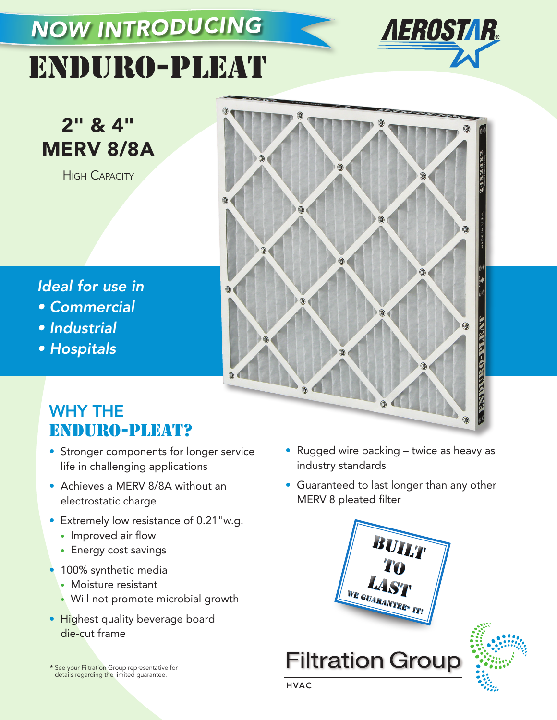## *NOW INTRODUCING*



# ENDURO-PLEAT

2" & 4" MERV 8/8A

**HIGH CAPACITY** 



### *Ideal for use in*

- Commercial
- Industrial
- Hospitals

## WHY THE ENDURO-PLEAT?

- Stronger components for longer service life in challenging applications
- Achieves a MERV 8/8A without an electrostatic charge
- Extremely low resistance of 0.21"w.g.
	- Improved air flow
	- Energy cost savings
- 100% synthetic media
	- Moisture resistant
	- Will not promote microbial growth
- Highest quality beverage board die-cut frame

\* See your Filtration Group representative for details regarding the limited guarantee.

- Rugged wire backing twice as heavy as industry standards
- Guaranteed to last longer than any other MERV 8 pleated filter



**Filtration Group**